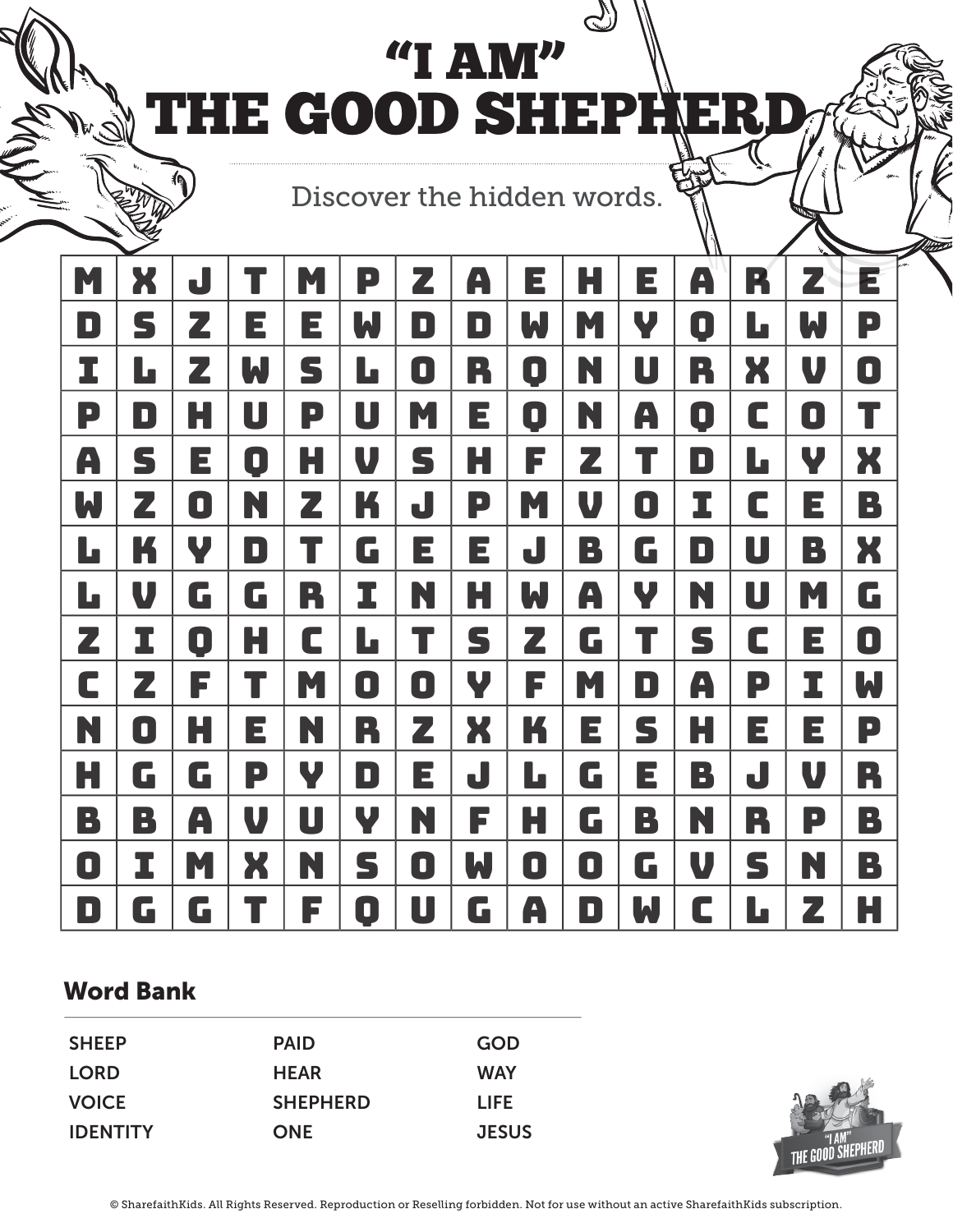"I AM" THE GOOD SHEPHERD

Discover the hidden words.

| M | X         | J |                         | M | P | Z | A | E | H | E                       | A         | K | Z | $\overline{z}$ |
|---|-----------|---|-------------------------|---|---|---|---|---|---|-------------------------|-----------|---|---|----------------|
| D | S         | Z | E                       | E | W | D | D | W | M | Y                       | 0         | L | W | P              |
| I | L         | Z | W                       | S | L | 0 | R | 0 | N | U                       | R         | X | V | O              |
| P | $\bullet$ | H | U                       | P | U | M | E | 0 | N | A                       | $\bullet$ | C | O | T              |
| A | S         | E | 0                       | H | V | S | H | F | Z | $\overline{\mathbf{T}}$ | D         | L | Ψ | X              |
| W | Z         | 0 | N                       | Z | K | J | P | M | V | 0                       | I         | C | E | B              |
| L | K         | V | D                       | T | G | E | E | J | B | G                       | D         | U | B | X              |
| L | V         | G | G                       | R | I | N | H | W | A | Y                       | N         | U | M | G              |
| Z | I         | 0 | H                       | C | L | T | S | Z | G | T                       | S         | C | E | 0              |
| C | Z         | F | T                       | M | 0 | 0 | Y | F | M | D                       | A         | P | I | W              |
| N | 0         | Н | E                       | N | R | Z | X | K | E | S                       | H         | E | E | P              |
| H | G         | G | P                       | Y | D | E | J | L | G | E                       | B         | J | V | R              |
| B | B         | A | V                       | U | Y | N | F | Н | G | B                       | N         | R | P | B              |
| 0 | I         | M | X                       | N | S | 0 | W | 0 | 0 | G                       | V         | S | N | B              |
| D | G         | G | $\overline{\mathsf{T}}$ | F | D | U | G | A | D | W                       | C         | L | Z | Н              |

## Word Bank

| <b>SHEEP</b>    | <b>PAID</b>     | <b>GOD</b>   |
|-----------------|-----------------|--------------|
| <b>LORD</b>     | <b>HEAR</b>     | <b>WAY</b>   |
| <b>VOICE</b>    | <b>SHEPHERD</b> | LIFE.        |
| <b>IDENTITY</b> | <b>ONE</b>      | <b>JESUS</b> |



© SharefaithKids. All Rights Reserved. Reproduction or Reselling forbidden. Not for use without an active SharefaithKids subscription.